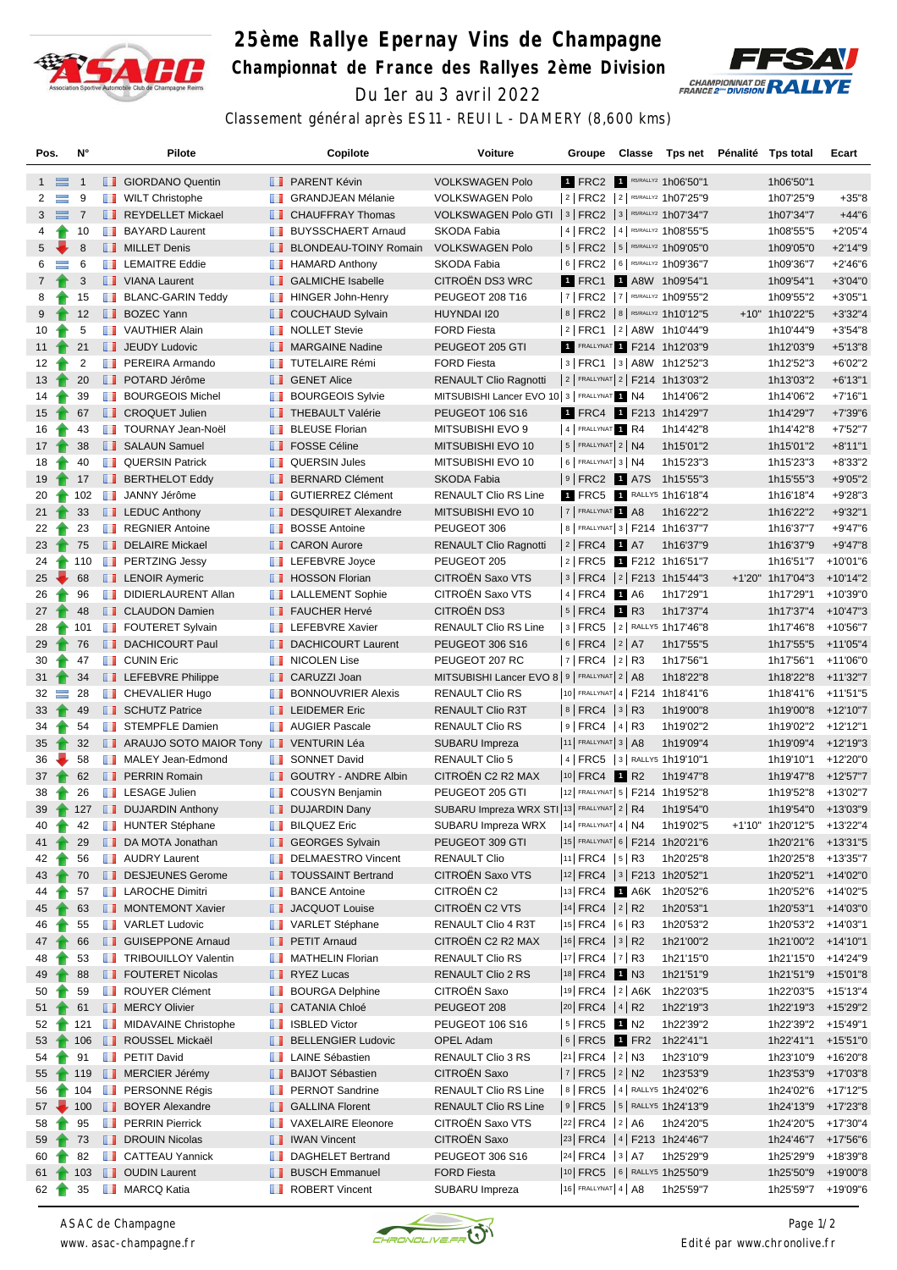

## **25ème Rallye Epernay Vins de Champagne Championnat de France des Rallyes 2ème Division** Du 1er au 3 avril 2022



Classement général après ES11 - REUIL - DAMERY (8,600 kms)

| Pos.             |           | N°             |               | Pilote                                                |               | Copilote                        | Voiture                                                  |                                        |  | Groupe Classe Tps net Pénalité Tps total |                           | Ecart      |
|------------------|-----------|----------------|---------------|-------------------------------------------------------|---------------|---------------------------------|----------------------------------------------------------|----------------------------------------|--|------------------------------------------|---------------------------|------------|
| $1 \equiv$       |           | $\overline{1}$ |               | <b>B</b> GIORDANO Quentin                             |               | <b>B</b> PARENT Kévin           | <b>VOLKSWAGEN Polo</b>                                   |                                        |  | 1 FRC2 1 R5/RALLY2 1h06'50"1             | 1h06'50"1                 |            |
| $\overline{2}$   | $\equiv$  | 9              |               | <b>WILT Christophe</b>                                |               | <b>B</b> GRANDJEAN Mélanie      | <b>VOLKSWAGEN Polo</b>                                   |                                        |  | 2   FRC2   2   R5/RALLY2 1h07'25"9       | 1h07'25"9                 | $+35"8$    |
| $3 \equiv 7$     |           |                |               | REYDELLET Mickael                                     |               | <b>CHAUFFRAY Thomas</b>         | VOLKSWAGEN Polo GTI   3   FRC2   3   R5/RALLY2 1h07'34"7 |                                        |  |                                          | 1h07'34"7                 | $+44"6$    |
| 4                | Ŧ         | 10             |               | <b>BAYARD Laurent</b>                                 |               | <b>BUYSSCHAERT Arnaud</b>       | SKODA Fabia                                              |                                        |  | 4   FRC2   4   R5/RALLY2 1h08'55"5       | 1h08'55"5                 | $+2'05''4$ |
| 5 <sub>5</sub>   |           | 8              |               | <b>NILLET</b> Denis                                   |               | <b>BLONDEAU-TOINY Romain</b>    | <b>VOLKSWAGEN Polo</b>                                   |                                        |  | 5   FRC2   5   RS/RALLY2 1h09'05"0       | 1h09'05"0                 | $+2'14''9$ |
| 6                | $\equiv$  | 6              |               | <b>EXECUTE Eddie</b>                                  |               | <b>B</b> HAMARD Anthony         | SKODA Fabia                                              |                                        |  | 6   FRC2   6   R5/RALLY2 1h09'36"7       | 1h09'36"7                 | $+2'46''6$ |
| $7\phantom{.}$   |           | 3              |               | VIANA Laurent                                         |               | <b>B</b> GALMICHE Isabelle      | CITROËN DS3 WRC                                          |                                        |  | 1 FRC1 1 A8W 1h09'54"1                   | 1h09'54"1                 | $+3'04"0$  |
| 8                |           | 15             |               | <b>BLANC-GARIN Teddy</b>                              |               | HINGER John-Henry               | PEUGEOT 208 T16                                          |                                        |  | 7   FRC2   7   R5/RALLY2 1h09'55"2       | 1h09'55"2                 | $+3'05"1$  |
| 9                |           | 12             |               | <b>BOZEC Yann</b>                                     |               | COUCHAUD Sylvain                | HUYNDAI I20                                              |                                        |  | 8   FRC2   8   R5/RALLY2 1h10'12"5       | +10" 1h10'22"5            | $+3'32''4$ |
| 10               |           | 5              |               | <b>T</b> VAUTHIER Alain                               |               | <b>NOLLET Stevie</b>            | <b>FORD Fiesta</b>                                       |                                        |  | 2  FRC1  2  A8W 1h10'44"9                | 1h10'44"9                 | $+3'54''8$ |
| 11 $\uparrow$    |           | 21             |               | <b>JEUDY Ludovic</b>                                  |               | MARGAINE Nadine                 | PEUGEOT 205 GTI                                          |                                        |  | 1 FRALLYNAT 1 F214 1h12'03"9             | 1h12'03"9                 | $+5'13''8$ |
| 12 <sup>2</sup>  |           | 2              | ш             | PEREIRA Armando                                       |               | <b>TUTELAIRE Rémi</b>           | <b>FORD Fiesta</b>                                       |                                        |  | 3   FRC1   3   A8W 1h12'52"3             | 1h12'52"3                 | $+6'02"2$  |
| $13-1$           |           | 20             |               | <b>POTARD Jérôme</b>                                  |               | <b>SENET Alice</b>              | <b>RENAULT Clio Ragnotti</b>                             |                                        |  | 2   FRALLYNAT 2   F214 1h13'03"2         | 1h13'03"2                 | $+6'13''1$ |
| 14               |           | 39             | <b>The Co</b> | <b>BOURGEOIS Michel</b>                               |               | <b>BOURGEOIS Sylvie</b>         | MITSUBISHI Lancer EVO 10 3   FRALLYNAT 1 N4              |                                        |  | 1h14'06"2                                | 1h14'06"2                 | $+7'16''1$ |
| $15$ $\uparrow$  |           | 67             |               | <b>CROQUET Julien</b>                                 |               | <b>THEBAULT Valérie</b>         | <b>PEUGEOT 106 S16</b>                                   |                                        |  | 1 FRC4 1 F213 1h14'29"7                  | 1h14'29"7                 | $+7'39''6$ |
| 16               |           | 43             |               | TOURNAY Jean-Noël                                     |               | <b>BLEUSE Florian</b>           | MITSUBISHI EVO 9                                         | 4 FRALLYNAT 1 R4                       |  | 1h14'42"8                                | 1h14'42"8                 | $+7'52"7$  |
| $17 \text{ T}$   |           | 38             |               | SALAUN Samuel                                         |               | <b>FOSSE Céline</b>             | MITSUBISHI EVO 10                                        | $ 5 $ FRALLYNAT $2 NA$                 |  | 1h15'01"2                                | 1h15'01"2                 | $+8'11''1$ |
| 18               |           | 40             |               | <b>QUERSIN Patrick</b>                                |               | <b>QUERSIN Jules</b>            | MITSUBISHI EVO 10                                        | $6$ FRALLYNAT 3 N4                     |  | 1h15'23"3                                | 1h15'23"3                 | $+8'33"2$  |
| $19 \rightarrow$ |           | 17             |               | <b>BERTHELOT Eddy</b>                                 |               | <b>BERNARD Clément</b>          | SKODA Fabia                                              |                                        |  | 9 FRC2   A7S 1h15'55"3                   | 1h15'55"3                 | $+9'05"2$  |
| 20               |           | 102            |               | <b>JANNY Jérôme</b>                                   |               | <b>SUTIERREZ Clément</b>        | RENAULT Clio RS Line                                     |                                        |  | 1 FRC5 1 RALLY5 1h16'18"4                | 1h16'18"4                 | $+9'28"3$  |
| 21               |           | 33             |               | $\blacksquare$ LEDUC Anthony                          |               | DESQUIRET Alexandre             | MITSUBISHI EVO 10                                        | 7 FRALLYNAT 1 A8                       |  | 1h16'22"2                                | 1h16'22"2                 | $+9'32"1$  |
| 22               |           | 23             |               | <b>REGNIER Antoine</b>                                |               | <b>BOSSE Antoine</b>            | PEUGEOT 306                                              |                                        |  | 8   FRALLYNAT 3   F214 1h16'37"7         | 1h16'37"7                 | $+9'47''6$ |
| $23 +$           |           | 75             |               | DELAIRE Mickael                                       |               | <b>CARON Aurore</b>             | <b>RENAULT Clio Ragnotti</b>                             | $ 2 $ FRC4 1 A7                        |  | 1h16'37"9                                | 1h16'37"9                 | $+9'47''8$ |
| 24               |           | 110            |               | <b>FRITZING Jessy</b>                                 |               | <b>LEFEBVRE</b> Joyce           | PEUGEOT 205                                              |                                        |  | 2 FRC5 1 F212 1h16'51"7                  | 1h16'51"7                 | +10'01"6   |
| $25 -$           |           | 68             |               | <b>LENOIR Aymeric</b>                                 |               | <b>B</b> HOSSON Florian         | CITROËN Saxo VTS                                         |                                        |  | 3   FRC4   2   F213 1h15'44"3            | +1'20" 1h17'04"3          | $+10'14"2$ |
| 26               |           | 96             | ш             | DIDIERLAURENT Allan                                   |               | <b>EXECUTE LALLEMENT Sophie</b> | CITROËN Saxo VTS                                         | 4 FRC4 1 A6                            |  | 1h17'29"1                                | 1h17'29"1                 | +10'39"0   |
| $27 \rightarrow$ |           | 48             |               | <b>CLAUDON Damien</b>                                 |               | <b>FAUCHER Hervé</b>            | CITROËN DS3                                              | $ 5 $ FRC4 1 R3                        |  | 1h17'37"4                                | 1h17'37"4                 | +10'47"3   |
| 28               | $\bullet$ | 101            |               | <b>FOUTERET Sylvain</b>                               | <b>The Co</b> | <b>LEFEBVRE Xavier</b>          | <b>RENAULT Clio RS Line</b>                              |                                        |  | 3   FRC5   2   RALLY5 1h17'46"8          | 1h17'46"8                 | +10'56"7   |
| $29 \t{m}$       |           | 76             |               | DACHICOURT Paul                                       |               | DACHICOURT Laurent              | PEUGEOT 306 S16                                          | $ 6 $ FRC4 $ 2 $ A7                    |  | 1h17'55"5                                | 1h17'55"5                 | +11'05"4   |
| 30               | Ŧ         | 47             |               | <b>T</b> CUNIN Eric                                   |               | <b>NICOLEN Lise</b>             | PEUGEOT 207 RC                                           | 7   FRC4   2   R3                      |  | 1h17'56"1                                | 1h17'56"1                 | +11'06"0   |
| 31               |           | 34             |               | <b>LEFEBVRE Philippe</b>                              |               | <b>B</b> CARUZZI Joan           | MITSUBISHI Lancer EVO 8 9   FRALLYNAT 2   A8             |                                        |  | 1h18'22"8                                | 1h18'22"8                 | +11'32"7   |
| $32 =$           |           | -28            |               | <b>CHEVALIER Hugo</b>                                 |               | <b>BONNOUVRIER Alexis</b>       | RENAULT Clio RS                                          |                                        |  | 10 FRALLYNAT 4   F214 1h18'41"6          | 1h18'41"6                 | +11'51"5   |
| 33               |           | 49             |               | SCHUTZ Patrice                                        |               | <b>LEIDEMER Eric</b>            | RENAULT Clio R3T                                         | $ 8 $ FRC4 $ 3 $ R3                    |  | 1h19'00"8                                | 1h19'00"8                 | +12'10"7   |
| 34               | ÷         | 54             |               | <b>STEMPFLE Damien</b>                                |               | <b>NAUGIER Pascale</b>          | <b>RENAULT Clio RS</b>                                   | $ 9 $ FRC4 $ 4 $ R3                    |  | 1h19'02"2                                | 1h19'02"2 +12'12"1        |            |
| 35               |           | 32             |               | <b>I</b> ARAUJO SOTO MAIOR Tony <b>I</b> VENTURIN Léa |               |                                 | SUBARU Impreza                                           | $ 11 $ FRALLYNAT 3   A8                |  | 1h19'09"4                                | 1h19'09"4                 | +12'19"3   |
| 36               |           | 58             |               | MALEY Jean-Edmond                                     |               | <b>B</b> SONNET David           | <b>RENAULT Clio 5</b>                                    |                                        |  | 4   FRC5   3   RALLY5 1h19'10"1          | 1h19'10"1                 | +12'20"0   |
| $37 \t{1}$       |           | 62             |               | <b>FRAIN Romain</b>                                   |               | <b>T</b> GOUTRY - ANDRE Albin   | CITROËN C2 R2 MAX                                        | $\vert$ <sup>10</sup> FRC4 <b>1</b> R2 |  | 1h19'47"8                                | 1h19'47"8                 | +12'57"7   |
| 38               |           | 26             |               | <b>LESAGE Julien</b>                                  |               | <b>COUSYN Benjamin</b>          | PEUGEOT 205 GTI                                          |                                        |  | 12 FRALLYNAT 5   F214 1h19'52"8          | 1h19'52"8                 | +13'02"7   |
| 39               |           |                |               | 127 <b>DUJARDIN Anthony</b>                           |               | DUJARDIN Dany                   | SUBARU Impreza WRX STI  13   FRALLYNAT   2   R4          |                                        |  | 1h19'54"0                                | 1h19'54"0 +13'03"9        |            |
| 40               | Ŧ         | 42             |               | <b>THUNTER Stéphane</b>                               |               | <b>BILQUEZ Eric</b>             | SUBARU Impreza WRX                                       | 14 FRALLYNAT $4$ N4                    |  | 1h19'02"5                                | +1'10" 1h20'12"5 +13'22"4 |            |
| 41               |           | 29             |               | DA MOTA Jonathan                                      |               | GEORGES Sylvain                 | PEUGEOT 309 GTI                                          |                                        |  | 15 FRALLYNAT 6   F214 1h20'21"6          | 1h20'21"6                 | +13'31"5   |
| 42               |           | 56             |               | <b>NET</b> AUDRY Laurent                              |               | <b>DELMAESTRO Vincent</b>       | <b>RENAULT Clio</b>                                      | $ 11 $ FRC4 $ 5 $ R3                   |  | 1h20'25"8                                | 1h20'25"8 +13'35"7        |            |
| $43-1$           |           | 70             |               | DESJEUNES Gerome                                      |               | <b>TOUSSAINT Bertrand</b>       | <b>CITROEN Saxo VTS</b>                                  |                                        |  | 12 FRC4   3   F213 1h20'52"1             | 1h20'52"1                 | +14'02"0   |
| 44               |           | 57             |               | <b>LAROCHE Dimitri</b>                                |               | <b>BANCE Antoine</b>            | CITROËN C2                                               |                                        |  | 13 FRC4 1 A6K 1h20'52"6                  | 1h20'52"6                 | +14'02"5   |
| 45               |           | 63             |               | MONTEMONT Xavier                                      |               | <b>JACQUOT Louise</b>           | CITROEN C2 VTS                                           | $ 14 $ FRC4 $ 2 $ R2                   |  | 1h20'53"1                                | 1h20'53"1                 | +14'03"0   |
| 46               |           | 55             |               | <b>T</b> VARLET Ludovic                               |               | VARLET Stéphane                 | RENAULT Clio 4 R3T                                       | 15 FRC4 6 R3                           |  | 1h20'53"2                                | 1h20'53"2 +14'03"1        |            |
| $47 \t{1}$       |           | 66             |               | <b>B</b> GUISEPPONE Arnaud                            |               | <b>PETIT Amaud</b>              | CITROËN C2 R2 MAX                                        | $ 16 $ FRC4 $ 3 $ R2                   |  | 1h21'00"2                                | 1h21'00"2 +14'10"1        |            |
| 48               |           | 53             |               | <b>TRIBOUILLOY Valentin</b>                           |               | MATHELIN Florian                | RENAULT Clio RS                                          | $ 17 $ FRC4 $ 7 $ R3                   |  | 1h21'15"0                                | 1h21'15"0 +14'24"9        |            |
| 49               |           | 88             |               | <b>FOUTERET Nicolas</b>                               |               | <b>RYEZ Lucas</b>               | <b>RENAULT Clio 2 RS</b>                                 | 18 FRC4 1 N3                           |  | 1h21'51"9                                | 1h21'51"9 +15'01"8        |            |
| 50               |           | 59             |               | ROUYER Clément                                        |               | <b>BOURGA Delphine</b>          | <b>CITROEN Saxo</b>                                      |                                        |  | 19 FRC4   2   A6K 1h22'03"5              | 1h22'03"5 +15'13"4        |            |
| $51$ 1           |           | 61             |               | <b>NERCY Olivier</b>                                  |               | <b>CATANIA Chloé</b>            | PEUGEOT 208                                              | $ 20 $ FRC4 $ 4 $ R2                   |  | 1h22'19"3                                | 1h22'19"3 +15'29"2        |            |
| 52               |           | 121            |               | <b>MIDAVAINE Christophe</b>                           | ш             | <b>ISBLED Victor</b>            | PEUGEOT 106 S16                                          | $ 5 $ FRC5 1 N2                        |  | 1h22'39"2                                | 1h22'39"2 +15'49"1        |            |
| 53               |           |                |               | 106 <b>B</b> ROUSSEL Mickaël                          |               | <b>BELLENGIER Ludovic</b>       | <b>OPEL Adam</b>                                         |                                        |  | 6   FRC5   FR2 1h22'41"1                 | 1h22'41"1 +15'51"0        |            |
| 54               |           | 91             |               | <b>F</b> PETIT David                                  |               | <b>B</b> LAINE Sébastien        | RENAULT Clio 3 RS                                        | 21 FRC4 2 N3                           |  | 1h23'10"9                                | 1h23'10"9 +16'20"8        |            |
| 55               |           | 119            |               | MERCIER Jérémy                                        |               | <b>BAIJOT Sébastien</b>         | <b>CITROEN Saxo</b>                                      | 7   FRC5   2   N2                      |  | 1h23'53"9                                | 1h23'53"9                 | +17'03"8   |
| 56               |           | 104            |               | <b>FRESONNE Régis</b>                                 |               | <b>F</b> PERNOT Sandrine        | RENAULT Clio RS Line                                     |                                        |  | 8   FRC5   4   RALLY5 1h24'02"6          | 1h24'02"6                 | +17'12"5   |
| $57 \leftarrow$  |           | 100            |               | <b>BOYER Alexandre</b>                                |               | <b>B</b> GALLINA Florent        | <b>RENAULT Clio RS Line</b>                              |                                        |  | 9   FRC5   5   RALLY5 1h24'13"9          | 1h24'13"9                 | +17'23"8   |
| 58               |           | 95             |               | <b>FRAN</b> Pierrick                                  |               | VAXELAIRE Eleonore              | CITROËN Saxo VTS                                         | 22 FRC4 2 A6                           |  | 1h24'20"5                                | 1h24'20"5                 | +17'30"4   |
| 59               |           | 73             |               | DROUIN Nicolas                                        |               | <b>NET IWAN Vincent</b>         | <b>CITROEN Saxo</b>                                      |                                        |  | 23 FRC4 4 F213 1h24'46"7                 | 1h24'46"7 +17'56"6        |            |
| 60               |           | 82             |               | <b>CATTEAU Yannick</b>                                |               | DAGHELET Bertrand               | PEUGEOT 306 S16                                          | $ 24 $ FRC4 $ 3 $ A7                   |  | 1h25'29"9                                | 1h25'29"9                 | +18'39"8   |
| 61               |           |                |               | 103 <b>J</b> OUDIN Laurent                            |               | <b>BUSCH Emmanuel</b>           | <b>FORD Fiesta</b>                                       |                                        |  | 10 FRC5 6 RALLY5 1h25'50"9               | 1h25'50"9 +19'00"8        |            |
| 62 <sub>1</sub>  |           | 35             |               | <b>NARCQ Katia</b>                                    |               | ROBERT Vincent                  | SUBARU Impreza                                           |                                        |  | 16 FRALLYNAT 4   A8 1h25'59"7            | 1h25'59"7 +19'09"6        |            |



*ASAC de Champagne www. asac-champagne.fr*